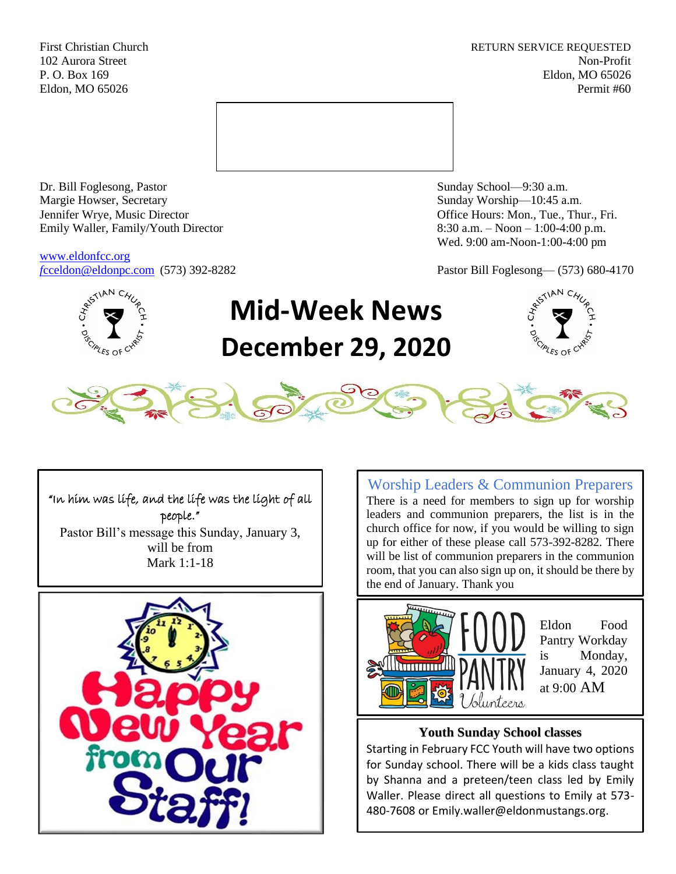First Christian Church **RETURN SERVICE REQUESTED** 102 Aurora Street Non-Profit P. O. Box 169 Eldon, MO 65026 Eldon, MO 65026 Permit #60



Dr. Bill Foglesong, Pastor Sunday School—9:30 a.m. Margie Howser, Secretary Sunday Worship—10:45 a.m. Jennifer Wrye, Music Director Office Hours: Mon., Tue., Thur., Fri. Emily Waller, Family/Youth Director 8:30 a.m. – Noon – 1:00-4:00 p.m.

[www.eldonfcc.org](http://www.eldonfcc.org/)

Wed. 9:00 am-Noon-1:00-4:00 pm

*f*[cceldon@eldonpc.com](mailto:fcceldon@eldonpc.com) (573) 392-8282 Pastor Bill Foglesong— (573) 680-4170



# **Mid-Week News December 29, 2020**





"In him was life, and the life was the light of all people." Pastor Bill's message this Sunday, January 3, will be from Mark 1:1-18



Worship Leaders & Communion Preparers There is a need for members to sign up for worship leaders and communion preparers, the list is in the church office for now, if you would be willing to sign up for either of these please call 573-392-8282. There will be list of communion preparers in the communion room, that you can also sign up on, it should be there by the end of January. Thank you



Eldon Food Pantry Workday is Monday, January 4, 2020 at 9:00 AM

# **Youth Sunday School classes**

Starting in February FCC Youth will have two options for Sunday school. There will be a kids class taught by Shanna and a preteen/teen class led by Emily Waller. Please direct all questions to Emily at 573- 480-7608 or Emily.waller@eldonmustangs.org.